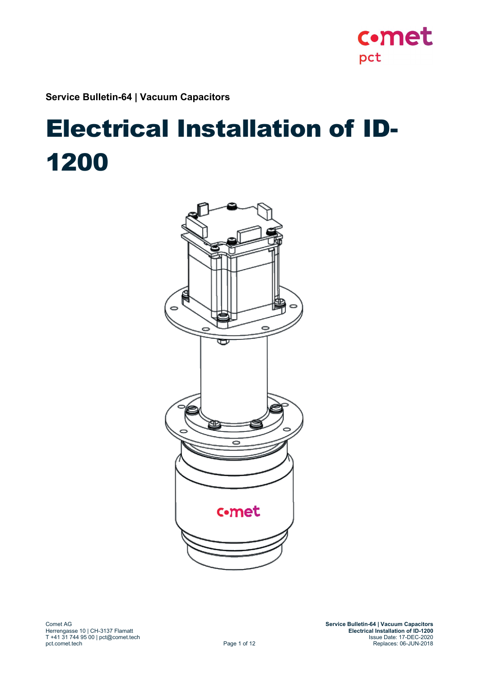**Service Bulletin-64 | Vacuum Capacitors**

# Electrical Installation of ID-1200



c.met

pct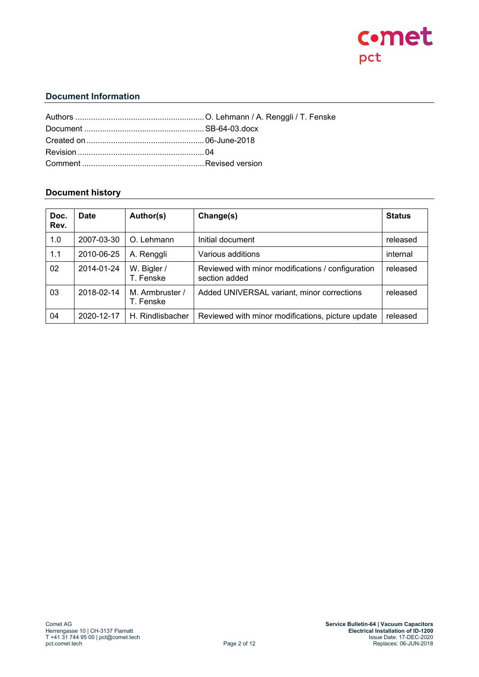

# **Document Information**

## **Document history**

| Doc.<br>Rev. | <b>Date</b> | Author(s)                    | Change(s)                                                          | <b>Status</b> |
|--------------|-------------|------------------------------|--------------------------------------------------------------------|---------------|
| 1.0          | 2007-03-30  | O. Lehmann                   | Initial document                                                   | released      |
| 1.1          | 2010-06-25  | A. Renggli                   | Various additions                                                  | internal      |
| 02           | 2014-01-24  | W. Bigler /<br>T. Fenske     | Reviewed with minor modifications / configuration<br>section added | released      |
| 03           | 2018-02-14  | M. Armbruster /<br>T. Fenske | Added UNIVERSAL variant, minor corrections                         | released      |
| 04           | 2020-12-17  | H. Rindlisbacher             | Reviewed with minor modifications, picture update                  | released      |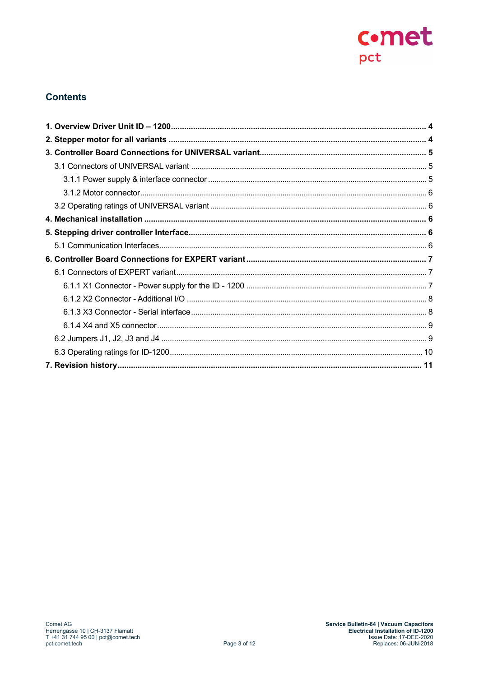

# **Contents**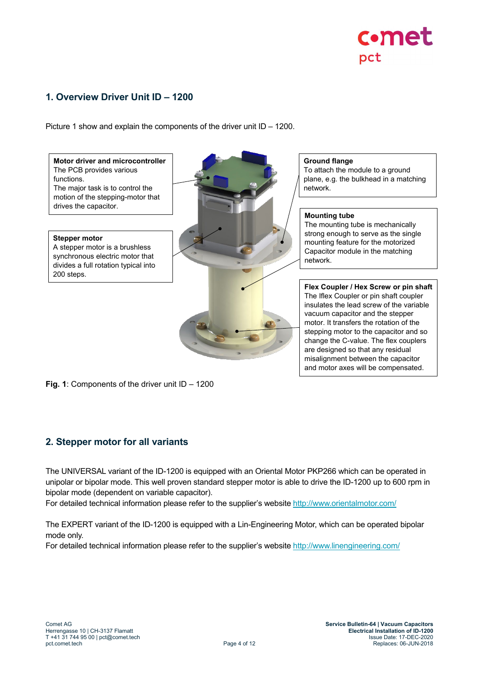

# <span id="page-3-0"></span>**1. Overview Driver Unit ID – 1200**

Picture 1 show and explain the components of the driver unit ID – 1200.

**Motor driver and microcontroller** The PCB provides various functions. The major task is to control the motion of the stepping-motor that drives the capacitor.

**Stepper motor** A stepper motor is a brushless synchronous electric motor that divides a full rotation typical into 200 steps.



**Ground flange**

To attach the module to a ground plane, e.g. the bulkhead in a matching network.

#### **Mounting tube**

The mounting tube is mechanically strong enough to serve as the single mounting feature for the motorized Capacitor module in the matching network.

**Flex Coupler / Hex Screw or pin shaft** The Iflex Coupler or pin shaft coupler insulates the lead screw of the variable vacuum capacitor and the stepper motor. It transfers the rotation of the stepping motor to the capacitor and so change the C-value. The flex couplers are designed so that any residual misalignment between the capacitor and motor axes will be compensated.

**Fig. 1**: Components of the driver unit ID – 1200

# <span id="page-3-1"></span>**2. Stepper motor for all variants**

The UNIVERSAL variant of the ID-1200 is equipped with an Oriental Motor PKP266 which can be operated in unipolar or bipolar mode. This well proven standard stepper motor is able to drive the ID-1200 up to 600 rpm in bipolar mode (dependent on variable capacitor).

For detailed technical information please refer to the supplier's website<http://www.orientalmotor.com/>

The EXPERT variant of the ID-1200 is equipped with a Lin-Engineering Motor, which can be operated bipolar mode only.

For detailed technical information please refer to the supplier's website<http://www.linengineering.com/>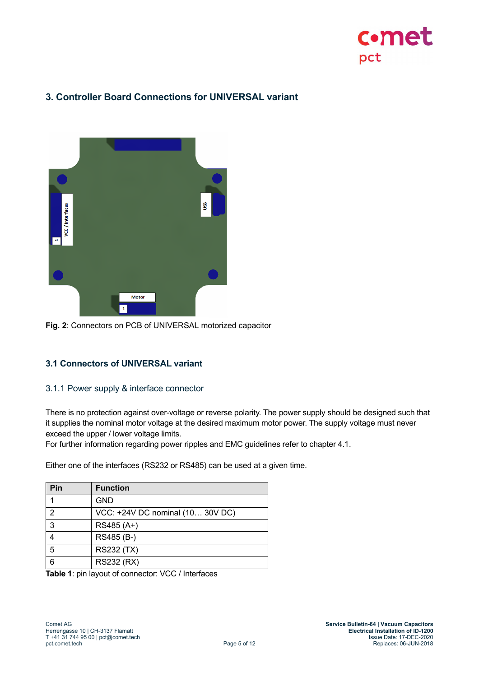

# <span id="page-4-0"></span>**3. Controller Board Connections for UNIVERSAL variant**



**Fig. 2**: Connectors on PCB of UNIVERSAL motorized capacitor

## <span id="page-4-1"></span>**3.1 Connectors of UNIVERSAL variant**

#### <span id="page-4-2"></span>3.1.1 Power supply & interface connector

There is no protection against over-voltage or reverse polarity. The power supply should be designed such that it supplies the nominal motor voltage at the desired maximum motor power. The supply voltage must never exceed the upper / lower voltage limits.

For further information regarding power ripples and EMC guidelines refer to chapter 4.1.

Either one of the interfaces (RS232 or RS485) can be used at a given time.

| Pin | <b>Function</b>                  |
|-----|----------------------------------|
|     | <b>GND</b>                       |
| 2   | VCC: +24V DC nominal (10 30V DC) |
| 3   | RS485 (A+)                       |
|     | RS485 (B-)                       |
| 5   | <b>RS232 (TX)</b>                |
| 6   | <b>RS232 (RX)</b>                |

**Table 1**: pin layout of connector: VCC / Interfaces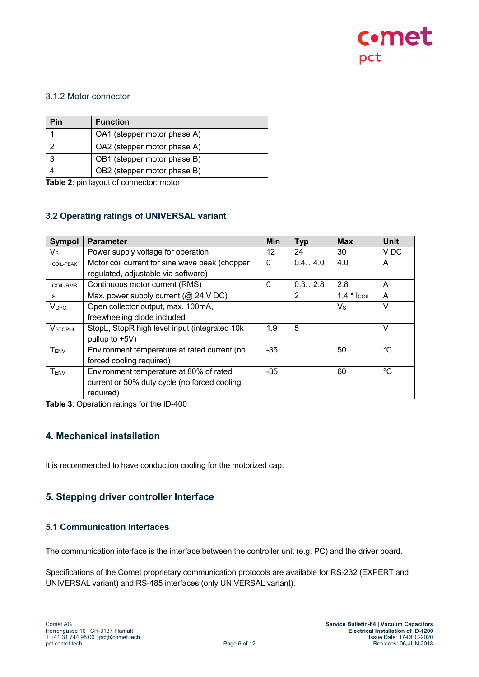

## <span id="page-5-0"></span>3.1.2 Motor connector

| Pin | <b>Function</b>             |
|-----|-----------------------------|
|     | OA1 (stepper motor phase A) |
| ⌒   | OA2 (stepper motor phase A) |
| 3   | OB1 (stepper motor phase B) |
|     | OB2 (stepper motor phase B) |

**Table 2**: pin layout of connector: motor

## <span id="page-5-1"></span>**3.2 Operating ratings of UNIVERSAL variant**

| <b>Sympol</b>          | <b>Parameter</b>                               | Min      | <b>Typ</b> | <b>Max</b>  | <b>Unit</b>     |
|------------------------|------------------------------------------------|----------|------------|-------------|-----------------|
| Vs                     | Power supply voltage for operation             | 12       | 24         | 30          | V <sub>DC</sub> |
| <b>ICOIL-PEAK</b>      | Motor coil current for sine wave peak (chopper | 0        | 0.44.0     | 4.0         | A               |
|                        | regulated, adjustable via software)            |          |            |             |                 |
| <b>ICOIL-RMS</b>       | Continuous motor current (RMS)                 | $\Omega$ | 0.32.8     | 2.8         | A               |
| ls.                    | Max. power supply current ( $@$ 24 V DC)       |          | 2          | $1.4 * COL$ | A               |
| <b>V<sub>GPO</sub></b> | Open collector output, max. 100mA,             |          |            | $V_{\rm S}$ | $\vee$          |
|                        | freewheeling diode included                    |          |            |             |                 |
| <b>VSTOPHI</b>         | StopL, StopR high level input (integrated 10k) | 1.9      | 5          |             | $\vee$          |
|                        | pullup to $+5V$ )                              |          |            |             |                 |
| TENV                   | Environment temperature at rated current (no   | $-35$    |            | 50          | °C              |
|                        | forced cooling required)                       |          |            |             |                 |
| TENV                   | Environment temperature at 80% of rated        | $-35$    |            | 60          | °€              |
|                        | current or 50% duty cycle (no forced cooling   |          |            |             |                 |
|                        | required)                                      |          |            |             |                 |

**Table 3**: Operation ratings for the ID-400

# <span id="page-5-2"></span>**4. Mechanical installation**

It is recommended to have conduction cooling for the motorized cap.

# <span id="page-5-3"></span>**5. Stepping driver controller Interface**

#### <span id="page-5-4"></span>**5.1 Communication Interfaces**

The communication interface is the interface between the controller unit (e.g. PC) and the driver board.

Specifications of the Comet proprietary communication protocols are available for RS-232 (EXPERT and UNIVERSAL variant) and RS-485 interfaces (only UNIVERSAL variant).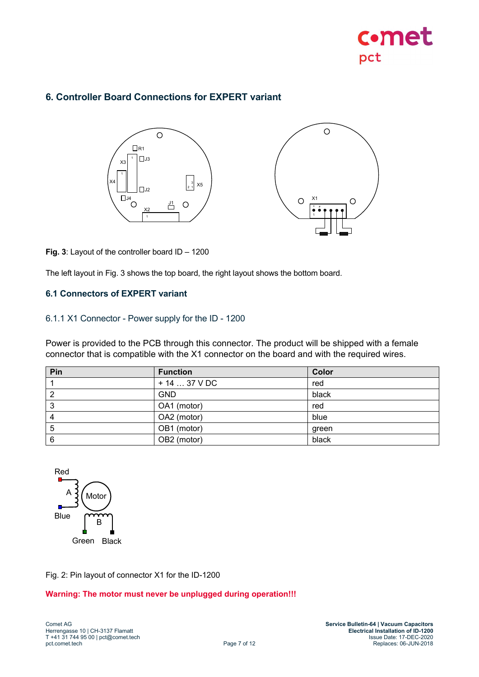

# <span id="page-6-0"></span>**6. Controller Board Connections for EXPERT variant**





**Fig. 3**: Layout of the controller board ID – 1200

The left layout in Fig. 3 shows the top board, the right layout shows the bottom board.

## <span id="page-6-1"></span>**6.1 Connectors of EXPERT variant**

#### <span id="page-6-2"></span>6.1.1 X1 Connector - Power supply for the ID - 1200

Power is provided to the PCB through this connector. The product will be shipped with a female connector that is compatible with the X1 connector on the board and with the required wires.

| Pin | <b>Function</b> | Color |
|-----|-----------------|-------|
|     | $+1437$ V DC    | red   |
|     | <b>GND</b>      | black |
| 3   | OA1 (motor)     | red   |
|     | OA2 (motor)     | blue  |
| b   | OB1 (motor)     | green |
| 6   | OB2 (motor)     | black |



Fig. 2: Pin layout of connector X1 for the ID-1200

#### **Warning: The motor must never be unplugged during operation!!!**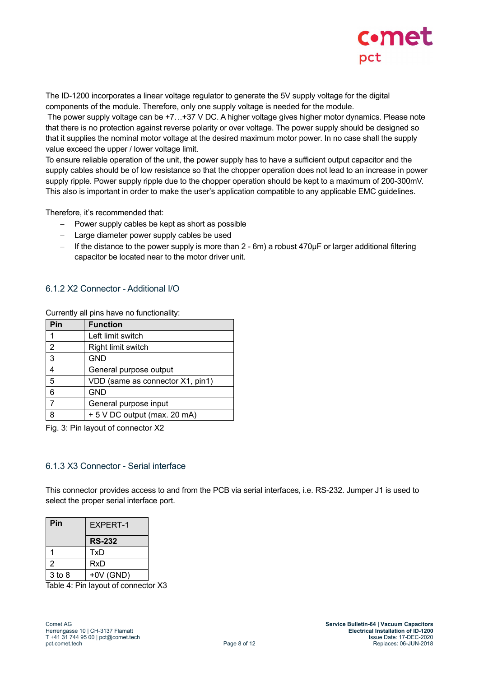

The ID-1200 incorporates a linear voltage regulator to generate the 5V supply voltage for the digital components of the module. Therefore, only one supply voltage is needed for the module.

The power supply voltage can be +7...+37 V DC. A higher voltage gives higher motor dynamics. Please note that there is no protection against reverse polarity or over voltage. The power supply should be designed so that it supplies the nominal motor voltage at the desired maximum motor power. In no case shall the supply value exceed the upper / lower voltage limit.

To ensure reliable operation of the unit, the power supply has to have a sufficient output capacitor and the supply cables should be of low resistance so that the chopper operation does not lead to an increase in power supply ripple. Power supply ripple due to the chopper operation should be kept to a maximum of 200-300mV. This also is important in order to make the user's application compatible to any applicable EMC guidelines.

Therefore, it's recommended that:

- − Power supply cables be kept as short as possible
- − Large diameter power supply cables be used
- − If the distance to the power supply is more than 2 6m) a robust 470µF or larger additional filtering capacitor be located near to the motor driver unit.

## <span id="page-7-0"></span>6.1.2 X2 Connector - Additional I/O

Currently all pins have no functionality:

| Pin            | <b>Function</b>                  |
|----------------|----------------------------------|
|                | Left limit switch                |
| $\overline{2}$ | Right limit switch               |
| 3              | <b>GND</b>                       |
| 4              | General purpose output           |
| 5              | VDD (same as connector X1, pin1) |
| 6              | <b>GND</b>                       |
|                | General purpose input            |
| 8              | + 5 V DC output (max. 20 mA)     |

Fig. 3: Pin layout of connector X2

#### <span id="page-7-1"></span>6.1.3 X3 Connector - Serial interface

This connector provides access to and from the PCB via serial interfaces, i.e. RS-232. Jumper J1 is used to select the proper serial interface port.

| Pin        | <b>EXPERT-1</b> |
|------------|-----------------|
|            | <b>RS-232</b>   |
|            | TxD             |
| 2          | <b>RxD</b>      |
| $3$ to $8$ | $+0V$ (GND)     |

Table 4: Pin layout of connector X3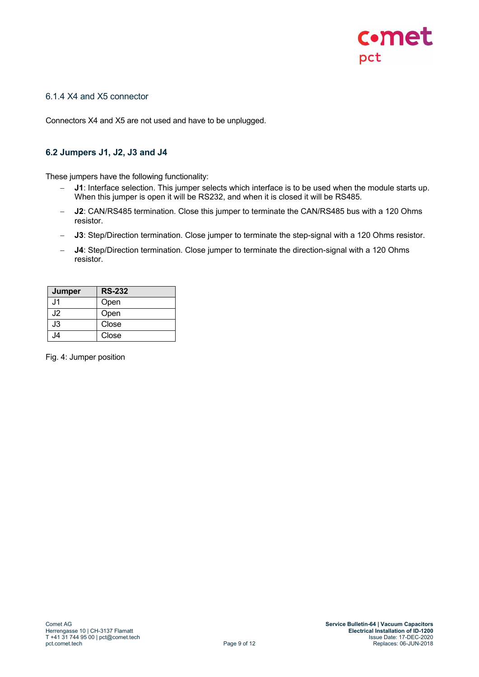

## <span id="page-8-0"></span>6.1.4 X4 and X5 connector

Connectors X4 and X5 are not used and have to be unplugged.

## <span id="page-8-1"></span>**6.2 Jumpers J1, J2, J3 and J4**

These jumpers have the following functionality:

- **J1**: Interface selection. This jumper selects which interface is to be used when the module starts up. When this jumper is open it will be RS232, and when it is closed it will be RS485.
- − **J2**: CAN/RS485 termination. Close this jumper to terminate the CAN/RS485 bus with a 120 Ohms resistor.
- − **J3**: Step/Direction termination. Close jumper to terminate the step-signal with a 120 Ohms resistor.
- − **J4**: Step/Direction termination. Close jumper to terminate the direction-signal with a 120 Ohms resistor.

| <b>Jumper</b>  | <b>RS-232</b> |
|----------------|---------------|
| J1.            | Open          |
| J2             | Open          |
| J3             | Close         |
| J <sub>4</sub> | Close         |

Fig. 4: Jumper position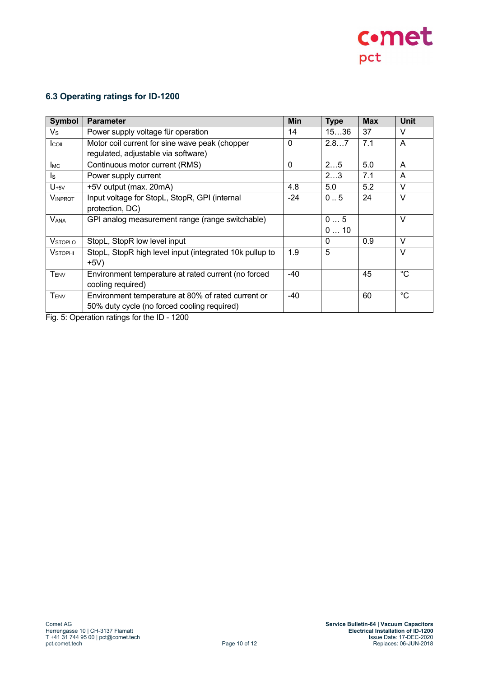

# <span id="page-9-0"></span>**6.3 Operating ratings for ID-1200**

| Symbol           | <b>Parameter</b>                                        | <b>Min</b> | <b>Type</b> | <b>Max</b> | <b>Unit</b> |
|------------------|---------------------------------------------------------|------------|-------------|------------|-------------|
| $V_{\rm S}$      | Power supply voltage für operation                      | 14         | 1536        | 37         | $\vee$      |
| <b>I</b> coll    | Motor coil current for sine wave peak (chopper          | $\Omega$   | 2.87        | 7.1        | A           |
|                  | regulated, adjustable via software)                     |            |             |            |             |
| <b>I</b> MC      | Continuous motor current (RMS)                          | $\Omega$   | 25          | 5.0        | A           |
| ls.              | Power supply current                                    |            | 23          | 7.1        | A           |
| $U_{+5V}$        | +5V output (max. 20mA)                                  | 4.8        | 5.0         | 5.2        | $\vee$      |
| <b>VINPROT</b>   | Input voltage for StopL, StopR, GPI (internal           | -24        | 0.5         | 24         | $\vee$      |
|                  | protection, DC)                                         |            |             |            |             |
| <b>VANA</b>      | GPI analog measurement range (range switchable)         |            | 05          |            | $\vee$      |
|                  |                                                         |            | 010         |            |             |
| <b>VSTOPLO</b>   | StopL, StopR low level input                            |            | 0           | 0.9        | $\vee$      |
| <b>VSTOPHI</b>   | StopL, StopR high level input (integrated 10k pullup to | 1.9        | 5           |            | $\vee$      |
|                  | $+5V)$                                                  |            |             |            |             |
| T <sub>ENV</sub> | Environment temperature at rated current (no forced     | $-40$      |             | 45         | $^{\circ}C$ |
|                  | cooling required)                                       |            |             |            |             |
| T <sub>ENV</sub> | Environment temperature at 80% of rated current or      | $-40$      |             | 60         | $^{\circ}C$ |
|                  | 50% duty cycle (no forced cooling required)             |            |             |            |             |

Fig. 5: Operation ratings for the ID - 1200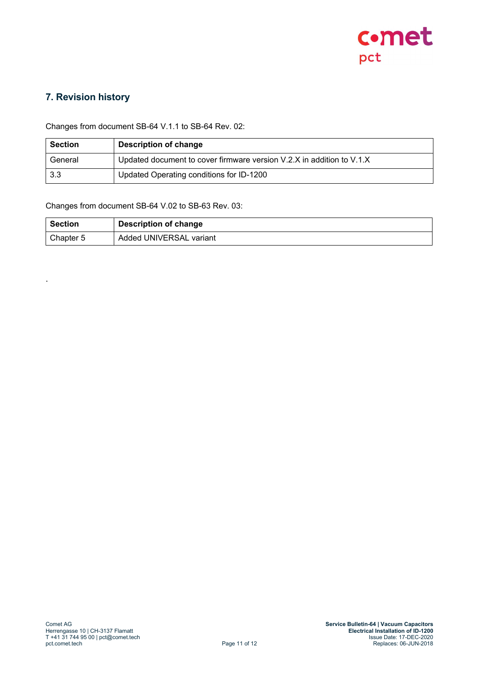

# <span id="page-10-0"></span>**7. Revision history**

.

Changes from document SB-64 V.1.1 to SB-64 Rev. 02:

| <b>Section</b> | Description of change                                                 |
|----------------|-----------------------------------------------------------------------|
| General        | Updated document to cover firmware version V.2.X in addition to V.1.X |
| 3.3            | Updated Operating conditions for ID-1200                              |

Changes from document SB-64 V.02 to SB-63 Rev. 03:

| Section   | Description of change   |
|-----------|-------------------------|
| Chapter 5 | Added UNIVERSAL variant |